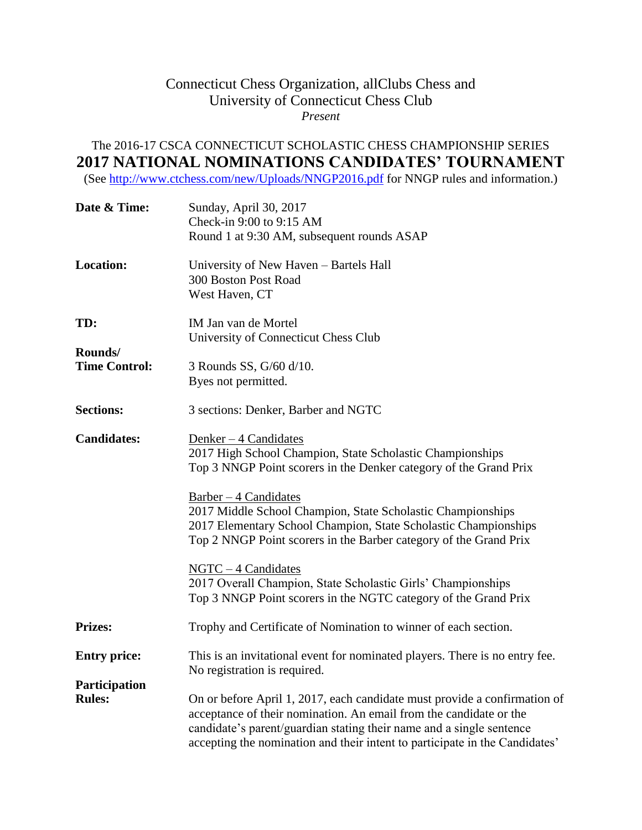## Connecticut Chess Organization, allClubs Chess and University of Connecticut Chess Club *Present*

## The 2016-17 CSCA CONNECTICUT SCHOLASTIC CHESS CHAMPIONSHIP SERIES **2017 NATIONAL NOMINATIONS CANDIDATES' TOURNAMENT**

(See<http://www.ctchess.com/new/Uploads/NNGP2016.pdf> for NNGP rules and information.)

| Date & Time:         | Sunday, April 30, 2017                                                      |
|----------------------|-----------------------------------------------------------------------------|
|                      | Check-in 9:00 to 9:15 AM                                                    |
|                      | Round 1 at 9:30 AM, subsequent rounds ASAP                                  |
| <b>Location:</b>     | University of New Haven – Bartels Hall                                      |
|                      | 300 Boston Post Road                                                        |
|                      | West Haven, CT                                                              |
| TD:                  | IM Jan van de Mortel                                                        |
|                      | University of Connecticut Chess Club                                        |
| Rounds/              |                                                                             |
| <b>Time Control:</b> | 3 Rounds SS, G/60 d/10.                                                     |
|                      | Byes not permitted.                                                         |
| <b>Sections:</b>     | 3 sections: Denker, Barber and NGTC                                         |
| <b>Candidates:</b>   | Denker $-4$ Candidates                                                      |
|                      | 2017 High School Champion, State Scholastic Championships                   |
|                      | Top 3 NNGP Point scorers in the Denker category of the Grand Prix           |
|                      |                                                                             |
|                      | $Barber - 4$ Candidates                                                     |
|                      | 2017 Middle School Champion, State Scholastic Championships                 |
|                      | 2017 Elementary School Champion, State Scholastic Championships             |
|                      | Top 2 NNGP Point scorers in the Barber category of the Grand Prix           |
|                      | $NGTC - 4$ Candidates                                                       |
|                      | 2017 Overall Champion, State Scholastic Girls' Championships                |
|                      | Top 3 NNGP Point scorers in the NGTC category of the Grand Prix             |
| <b>Prizes:</b>       | Trophy and Certificate of Nomination to winner of each section.             |
| <b>Entry price:</b>  | This is an invitational event for nominated players. There is no entry fee. |
|                      | No registration is required.                                                |
| <b>Participation</b> |                                                                             |
| <b>Rules:</b>        | On or before April 1, 2017, each candidate must provide a confirmation of   |
|                      | acceptance of their nomination. An email from the candidate or the          |
|                      | candidate's parent/guardian stating their name and a single sentence        |
|                      | accepting the nomination and their intent to participate in the Candidates' |